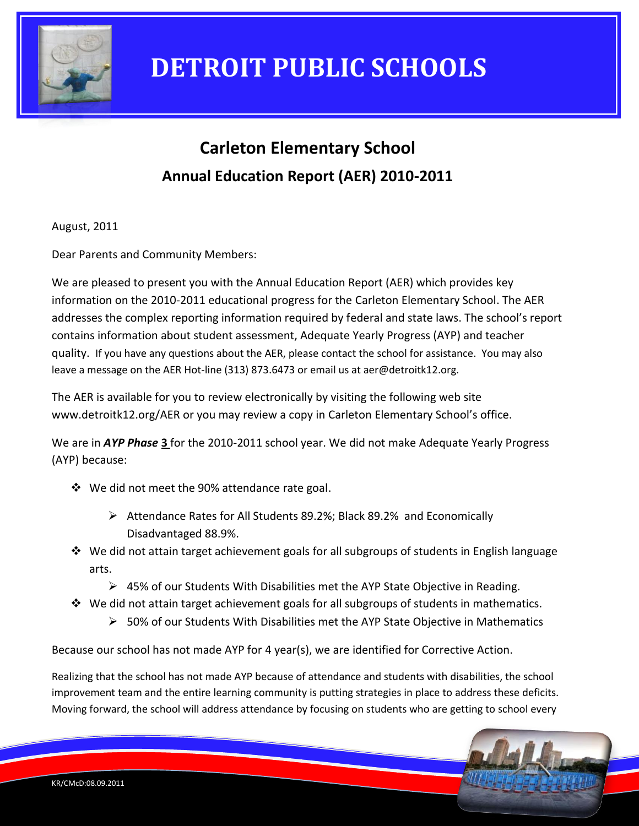

### **Carleton Elementary School Annual Education Report (AER) 2010-2011**

August, 2011

Dear Parents and Community Members:

We are pleased to present you with the Annual Education Report (AER) which provides key information on the 2010-2011 educational progress for the Carleton Elementary School. The AER addresses the complex reporting information required by federal and state laws. The school's report contains information about student assessment, Adequate Yearly Progress (AYP) and teacher quality. If you have any questions about the AER, please contact the school for assistance. You may also leave a message on the AER Hot-line (313) 873.6473 or email us at aer@detroitk12.org.

The AER is available for you to review electronically by visiting the following web site www.detroitk12.org/AER or you may review a copy in Carleton Elementary School's office.

We are in *AYP Phase* **3** for the 2010-2011 school year. We did not make Adequate Yearly Progress (AYP) because:

- We did not meet the 90% attendance rate goal.
	- Attendance Rates for All Students 89.2%; Black 89.2% and Economically Disadvantaged 88.9%.
- $\div$  We did not attain target achievement goals for all subgroups of students in English language arts.
	- $\triangleright$  45% of our Students With Disabilities met the AYP State Objective in Reading.
- We did not attain target achievement goals for all subgroups of students in mathematics.
	- $>$  50% of our Students With Disabilities met the AYP State Objective in Mathematics

Because our school has not made AYP for 4 year(s), we are identified for Corrective Action.

Realizing that the school has not made AYP because of attendance and students with disabilities, the school improvement team and the entire learning community is putting strategies in place to address these deficits. Moving forward, the school will address attendance by focusing on students who are getting to school every

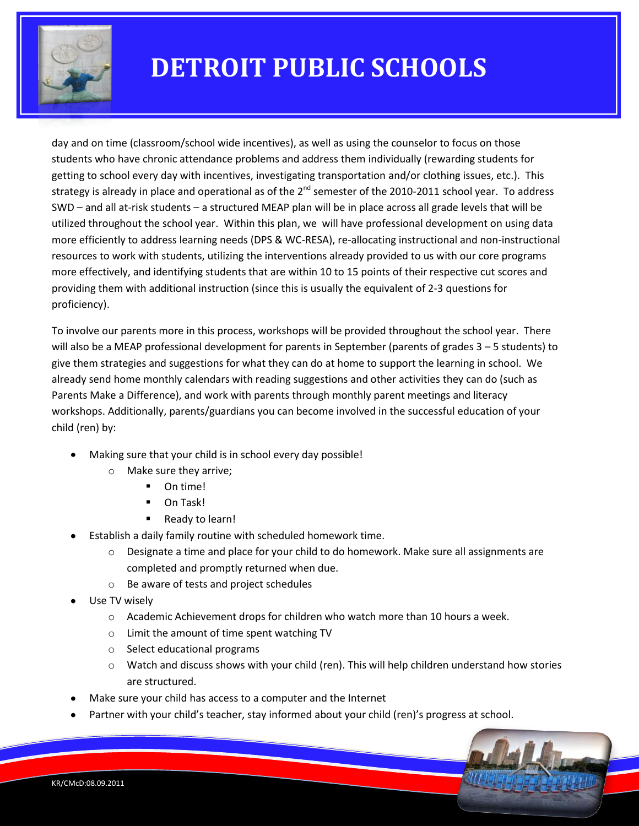

day and on time (classroom/school wide incentives), as well as using the counselor to focus on those students who have chronic attendance problems and address them individually (rewarding students for getting to school every day with incentives, investigating transportation and/or clothing issues, etc.). This strategy is already in place and operational as of the  $2^{nd}$  semester of the 2010-2011 school year. To address SWD – and all at-risk students – a structured MEAP plan will be in place across all grade levels that will be utilized throughout the school year. Within this plan, we will have professional development on using data more efficiently to address learning needs (DPS & WC-RESA), re-allocating instructional and non-instructional resources to work with students, utilizing the interventions already provided to us with our core programs more effectively, and identifying students that are within 10 to 15 points of their respective cut scores and providing them with additional instruction (since this is usually the equivalent of 2-3 questions for proficiency).

To involve our parents more in this process, workshops will be provided throughout the school year. There will also be a MEAP professional development for parents in September (parents of grades 3 – 5 students) to give them strategies and suggestions for what they can do at home to support the learning in school. We already send home monthly calendars with reading suggestions and other activities they can do (such as Parents Make a Difference), and work with parents through monthly parent meetings and literacy workshops. Additionally, parents/guardians you can become involved in the successful education of your child (ren) by:

- Making sure that your child is in school every day possible!
	- o Make sure they arrive;
		- **-** On time!
		- On Task!
		- Ready to learn!
- Establish a daily family routine with scheduled homework time.  $\bullet$ 
	- $\circ$  Designate a time and place for your child to do homework. Make sure all assignments are completed and promptly returned when due.
	- o Be aware of tests and project schedules
- Use TV wisely
	- $\circ$  Academic Achievement drops for children who watch more than 10 hours a week.
	- o Limit the amount of time spent watching TV
	- o Select educational programs
	- o Watch and discuss shows with your child (ren). This will help children understand how stories are structured.
- Make sure your child has access to a computer and the Internet
- Partner with your child's teacher, stay informed about your child (ren)'s progress at school.

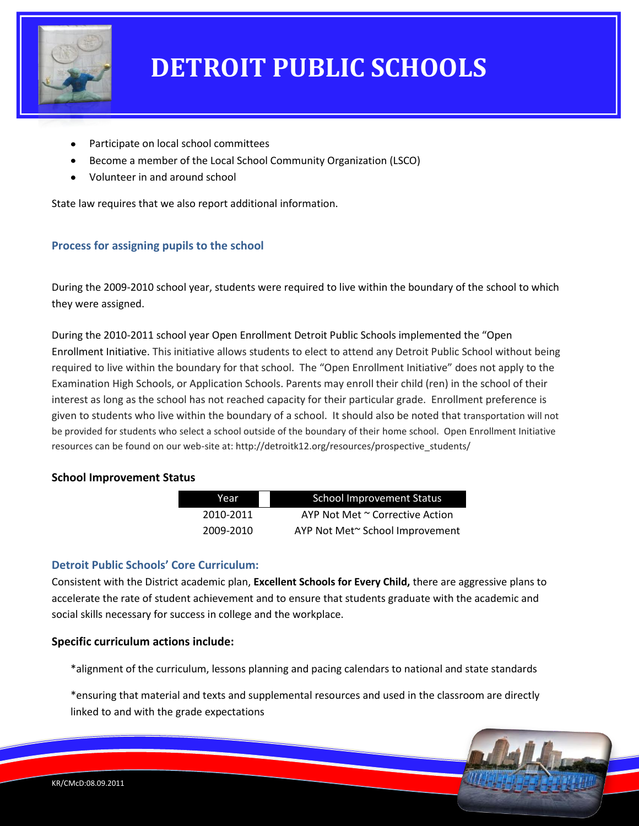

- Participate on local school committees
- Become a member of the Local School Community Organization (LSCO)
- Volunteer in and around school

State law requires that we also report additional information.

### **Process for assigning pupils to the school**

During the 2009-2010 school year, students were required to live within the boundary of the school to which they were assigned.

During the 2010-2011 school year Open Enrollment Detroit Public Schools implemented the "Open Enrollment Initiative. This initiative allows students to elect to attend any Detroit Public School without being required to live within the boundary for that school. The "Open Enrollment Initiative" does not apply to the Examination High Schools, or Application Schools. Parents may enroll their child (ren) in the school of their interest as long as the school has not reached capacity for their particular grade. Enrollment preference is given to students who live within the boundary of a school. It should also be noted that transportation will not be provided for students who select a school outside of the boundary of their home school. Open Enrollment Initiative resources can be found on our web-site at: http://detroitk12.org/resources/prospective\_students/

#### **School Improvement Status**

| Year      | <b>School Improvement Status</b> |
|-----------|----------------------------------|
| 2010-2011 | AYP Not Met ~ Corrective Action  |
| 2009-2010 | AYP Not Met~ School Improvement  |

#### **Detroit Public Schools' Core Curriculum:**

Consistent with the District academic plan, **Excellent Schools for Every Child,** there are aggressive plans to accelerate the rate of student achievement and to ensure that students graduate with the academic and social skills necessary for success in college and the workplace.

#### **Specific curriculum actions include:**

\*alignment of the curriculum, lessons planning and pacing calendars to national and state standards

\*ensuring that material and texts and supplemental resources and used in the classroom are directly linked to and with the grade expectations

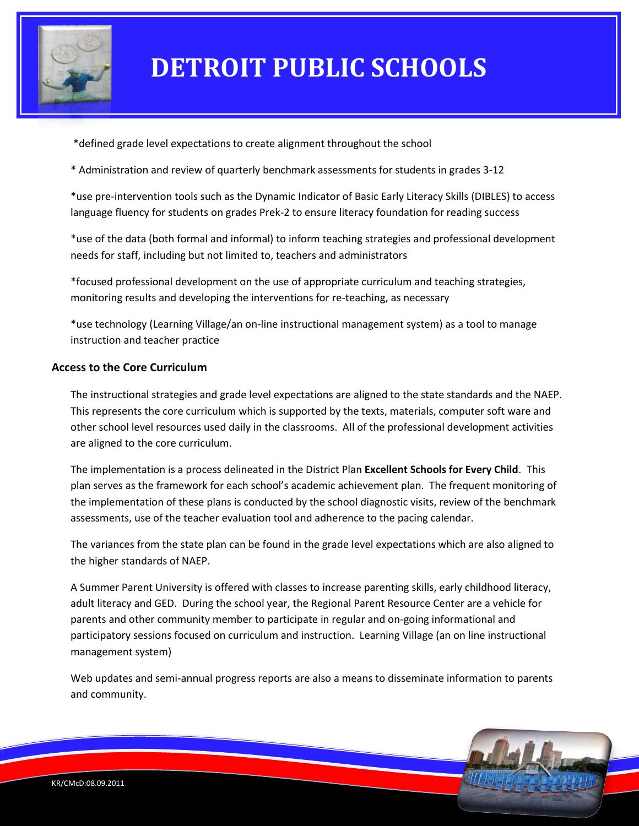

\*defined grade level expectations to create alignment throughout the school

\* Administration and review of quarterly benchmark assessments for students in grades 3-12

\*use pre-intervention tools such as the Dynamic Indicator of Basic Early Literacy Skills (DIBLES) to access language fluency for students on grades Prek-2 to ensure literacy foundation for reading success

\*use of the data (both formal and informal) to inform teaching strategies and professional development needs for staff, including but not limited to, teachers and administrators

\*focused professional development on the use of appropriate curriculum and teaching strategies, monitoring results and developing the interventions for re-teaching, as necessary

\*use technology (Learning Village/an on-line instructional management system) as a tool to manage instruction and teacher practice

#### **Access to the Core Curriculum**

The instructional strategies and grade level expectations are aligned to the state standards and the NAEP. This represents the core curriculum which is supported by the texts, materials, computer soft ware and other school level resources used daily in the classrooms. All of the professional development activities are aligned to the core curriculum.

The implementation is a process delineated in the District Plan **Excellent Schools for Every Child**. This plan serves as the framework for each school's academic achievement plan. The frequent monitoring of the implementation of these plans is conducted by the school diagnostic visits, review of the benchmark assessments, use of the teacher evaluation tool and adherence to the pacing calendar.

The variances from the state plan can be found in the grade level expectations which are also aligned to the higher standards of NAEP.

A Summer Parent University is offered with classes to increase parenting skills, early childhood literacy, adult literacy and GED. During the school year, the Regional Parent Resource Center are a vehicle for parents and other community member to participate in regular and on-going informational and participatory sessions focused on curriculum and instruction. Learning Village (an on line instructional management system)

Web updates and semi-annual progress reports are also a means to disseminate information to parents and community.

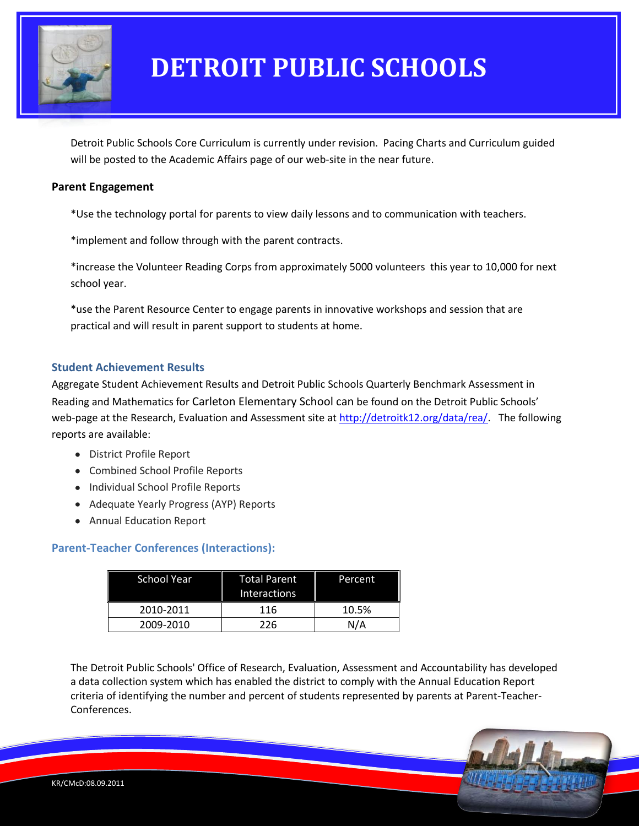

Detroit Public Schools Core Curriculum is currently under revision. Pacing Charts and Curriculum guided will be posted to the Academic Affairs page of our web-site in the near future.

#### **Parent Engagement**

\*Use the technology portal for parents to view daily lessons and to communication with teachers.

\*implement and follow through with the parent contracts.

\*increase the Volunteer Reading Corps from approximately 5000 volunteers this year to 10,000 for next school year.

\*use the Parent Resource Center to engage parents in innovative workshops and session that are practical and will result in parent support to students at home.

#### **Student Achievement Results**

Aggregate Student Achievement Results and Detroit Public Schools Quarterly Benchmark Assessment in Reading and Mathematics for Carleton Elementary School can be found on the Detroit Public Schools' web-page at the Research, Evaluation and Assessment site at [http://detroitk12.org/data/rea/.](http://detroitk12.org/data/rea/) The following reports are available:

- District Profile Report
- Combined School Profile Reports
- Individual School Profile Reports
- Adequate Yearly Progress (AYP) Reports
- Annual Education Report

### **Parent-Teacher Conferences (Interactions):**

| <b>School Year</b> | Total Parent<br><b>Interactions</b> | Percent |
|--------------------|-------------------------------------|---------|
| 2010-2011          | 116                                 | 10.5%   |
| 2009-2010          | 226                                 | N/A     |

The Detroit Public Schools' Office of Research, Evaluation, Assessment and Accountability has developed a data collection system which has enabled the district to comply with the Annual Education Report criteria of identifying the number and percent of students represented by parents at Parent-Teacher-Conferences.